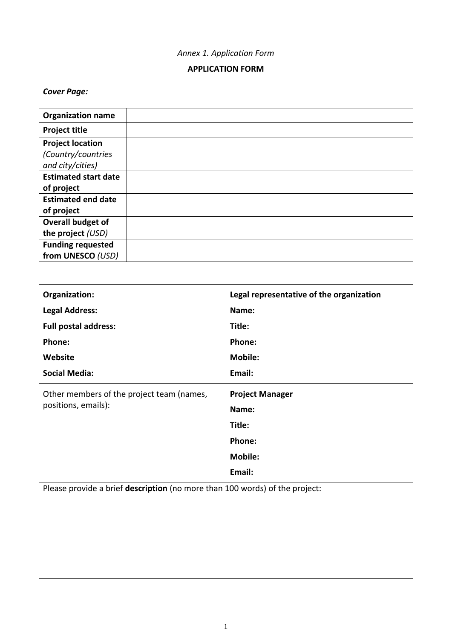# *Annex 1. Application Form*

# **APPLICATION FORM**

# *Cover Page:*

| <b>Organization name</b>    |  |
|-----------------------------|--|
| <b>Project title</b>        |  |
| <b>Project location</b>     |  |
| (Country/countries          |  |
| and city/cities)            |  |
| <b>Estimated start date</b> |  |
| of project                  |  |
| <b>Estimated end date</b>   |  |
| of project                  |  |
| Overall budget of           |  |
| the project (USD)           |  |
| <b>Funding requested</b>    |  |
| from UNESCO (USD)           |  |

| Organization:                             | Legal representative of the organization |  |  |
|-------------------------------------------|------------------------------------------|--|--|
| <b>Legal Address:</b>                     | Name:                                    |  |  |
| <b>Full postal address:</b>               | Title:                                   |  |  |
| Phone:                                    | Phone:                                   |  |  |
| Website                                   | <b>Mobile:</b>                           |  |  |
| <b>Social Media:</b>                      | Email:                                   |  |  |
| Other members of the project team (names, | <b>Project Manager</b>                   |  |  |
| positions, emails):                       | Name:                                    |  |  |
|                                           | Title:                                   |  |  |
|                                           | Phone:                                   |  |  |
|                                           | <b>Mobile:</b>                           |  |  |
|                                           |                                          |  |  |
|                                           | Email:                                   |  |  |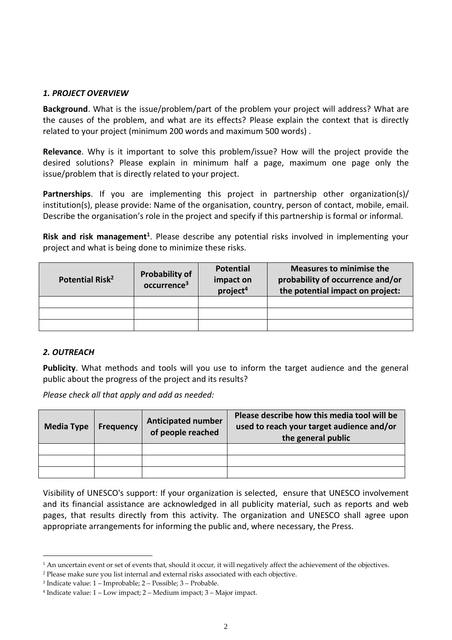### *1. PROJECT OVERVIEW*

**Background**. What is the issue/problem/part of the problem your project will address? What are the causes of the problem, and what are its effects? Please explain the context that is directly related to your project (minimum 200 words and maximum 500 words) .

**Relevance**. Why is it important to solve this problem/issue? How will the project provide the desired solutions? Please explain in minimum half a page, maximum one page only the issue/problem that is directly related to your project.

**Partnerships**. If you are implementing this project in partnership other organization(s)/ institution(s), please provide: Name of the organisation, country, person of contact, mobile, email. Describe the organisation's role in the project and specify if this partnership is formal or informal.

Risk and risk management<sup>1</sup>. Please describe any potential risks involved in implementing your project and what is being done to minimize these risks.

| Potential Risk <sup>2</sup> | <b>Probability of</b><br>occurrence <sup>3</sup> | <b>Measures to minimise the</b><br><b>Potential</b><br>probability of occurrence and/or<br>impact on<br>project <sup>4</sup><br>the potential impact on project: |  |  |  |  |
|-----------------------------|--------------------------------------------------|------------------------------------------------------------------------------------------------------------------------------------------------------------------|--|--|--|--|
|                             |                                                  |                                                                                                                                                                  |  |  |  |  |
|                             |                                                  |                                                                                                                                                                  |  |  |  |  |
|                             |                                                  |                                                                                                                                                                  |  |  |  |  |

## *2. OUTREACH*

<u>.</u>

**Publicity**. What methods and tools will you use to inform the target audience and the general public about the progress of the project and its results?

*Please check all that apply and add as needed:*

| <b>Media Type</b> | <b>Frequency</b> | Please describe how this media tool will be<br><b>Anticipated number</b><br>used to reach your target audience and/or<br>of people reached<br>the general public |  |  |  |
|-------------------|------------------|------------------------------------------------------------------------------------------------------------------------------------------------------------------|--|--|--|
|                   |                  |                                                                                                                                                                  |  |  |  |
|                   |                  |                                                                                                                                                                  |  |  |  |
|                   |                  |                                                                                                                                                                  |  |  |  |

Visibility of UNESCO's support: If your organization is selected, ensure that UNESCO involvement and its financial assistance are acknowledged in all publicity material, such as reports and web pages, that results directly from this activity. The organization and UNESCO shall agree upon appropriate arrangements for informing the public and, where necessary, the Press.

<sup>&</sup>lt;sup>1</sup> An uncertain event or set of events that, should it occur, it will negatively affect the achievement of the objectives.

<sup>2</sup> Please make sure you list internal and external risks associated with each objective.

<sup>3</sup> Indicate value: 1 – Improbable; 2 – Possible; 3 – Probable.

<sup>4</sup> Indicate value: 1 – Low impact; 2 – Medium impact; 3 – Major impact.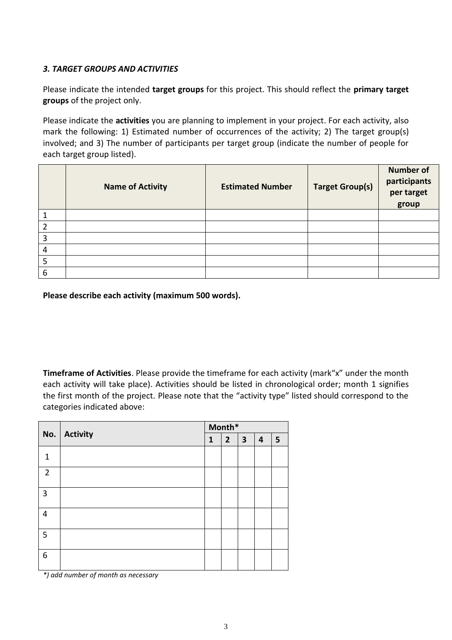## *3. TARGET GROUPS AND ACTIVITIES*

Please indicate the intended **target groups** for this project. This should reflect the **primary target groups** of the project only.

Please indicate the **activities** you are planning to implement in your project. For each activity, also mark the following: 1) Estimated number of occurrences of the activity; 2) The target group(s) involved; and 3) The number of participants per target group (indicate the number of people for each target group listed).

|                | <b>Name of Activity</b> | <b>Estimated Number</b> | <b>Target Group(s)</b> | <b>Number of</b><br>participants<br>per target<br>group |
|----------------|-------------------------|-------------------------|------------------------|---------------------------------------------------------|
|                |                         |                         |                        |                                                         |
| $\overline{2}$ |                         |                         |                        |                                                         |
| $\overline{3}$ |                         |                         |                        |                                                         |
| $\overline{4}$ |                         |                         |                        |                                                         |
| 5              |                         |                         |                        |                                                         |
| 6              |                         |                         |                        |                                                         |

**Please describe each activity (maximum 500 words).** 

**Timeframe of Activities**. Please provide the timeframe for each activity (mark"x" under the month each activity will take place). Activities should be listed in chronological order; month 1 signifies the first month of the project. Please note that the "activity type" listed should correspond to the categories indicated above:

|                | No. Activity | Month*       |             |                         |                         |   |
|----------------|--------------|--------------|-------------|-------------------------|-------------------------|---|
|                |              | $\mathbf{1}$ | $2^{\circ}$ | $\overline{\mathbf{3}}$ | $\overline{\mathbf{4}}$ | 5 |
| 1              |              |              |             |                         |                         |   |
| $\overline{2}$ |              |              |             |                         |                         |   |
| 3              |              |              |             |                         |                         |   |
| $\overline{4}$ |              |              |             |                         |                         |   |
| 5              |              |              |             |                         |                         |   |
| 6              |              |              |             |                         |                         |   |

*\*) add number of month as necessary*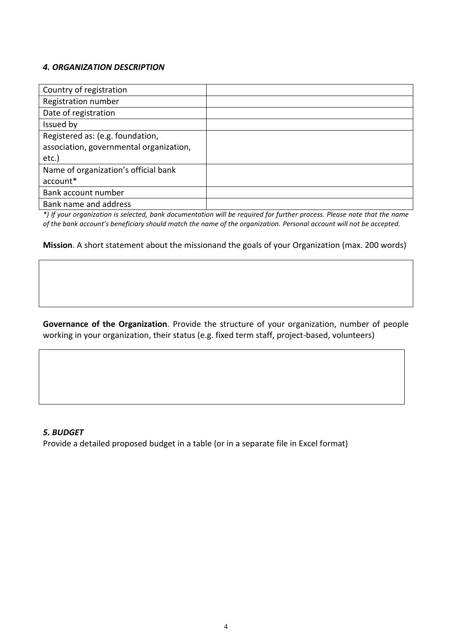### *4. ORGANIZATION DESCRIPTION*

| Country of registration                 |  |
|-----------------------------------------|--|
| Registration number                     |  |
| Date of registration                    |  |
| Issued by                               |  |
| Registered as: (e.g. foundation,        |  |
| association, governmental organization, |  |
| etc.)                                   |  |
| Name of organization's official bank    |  |
| account*                                |  |
| Bank account number                     |  |
| Bank name and address                   |  |

*\*) If your organization is selected, bank documentation will be required for further process. Please note that the name of the bank account's beneficiary should match the name of the organization. Personal account will not be accepted.*

### **Mission**. A short statement about the missionand the goals of your Organization (max. 200 words)

**Governance of the Organization**. Provide the structure of your organization, number of people working in your organization, their status (e.g. fixed term staff, project-based, volunteers)

#### *5. BUDGET*

Provide a detailed proposed budget in a table (or in a separate file in Excel format)